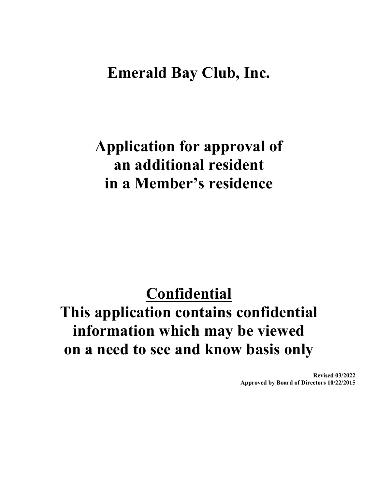### **Emerald Bay Club, Inc.**

# **Application for approval of an additional resident in a Member's residence**

## **Confidential**

# **This application contains confidential information which may be viewed on a need to see and know basis only**

**Revised 03/2022 Approved by Board of Directors 10/22/2015**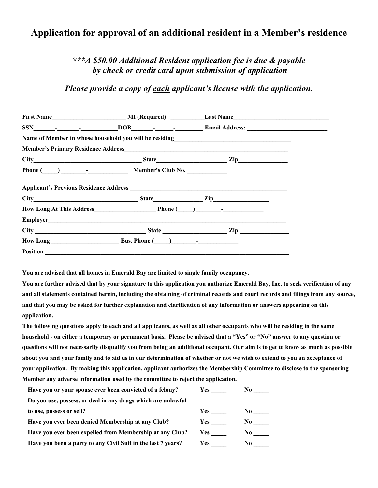### **Application for approval of an additional resident in a Member's residence**

#### *\*\*\*A \$50.00 Additional Resident application fee is due & payable by check or credit card upon submission of application*

*Please provide a copy of each applicant's license with the application.*

|                                                                                                                                                                                                                                     | $SSN$ $\qquad \qquad  \qquad \qquad \qquad$ $\qquad \qquad$ $\qquad \qquad$ $\qquad \qquad$ $\qquad \qquad$ $\qquad \qquad$ $\qquad \qquad$ $\qquad$ $\qquad \qquad$ $\qquad$ $\qquad \qquad$ $\qquad$ $\qquad$ $\qquad$ $\qquad$ $\qquad$ $\qquad$ $\qquad$ $\qquad$ $\qquad$ $\qquad$ $\qquad$ $\qquad$ $\qquad$ $\qquad$ $\qquad$ $\qquad$ $\qquad$ $\qquad$ $\$ |  |
|-------------------------------------------------------------------------------------------------------------------------------------------------------------------------------------------------------------------------------------|---------------------------------------------------------------------------------------------------------------------------------------------------------------------------------------------------------------------------------------------------------------------------------------------------------------------------------------------------------------------|--|
|                                                                                                                                                                                                                                     | Name of Member in whose household you will be residing<br><u>Name of Member in whose household you will be residing</u>                                                                                                                                                                                                                                             |  |
|                                                                                                                                                                                                                                     |                                                                                                                                                                                                                                                                                                                                                                     |  |
|                                                                                                                                                                                                                                     |                                                                                                                                                                                                                                                                                                                                                                     |  |
| Phone $(\_\_\_\_\_\_$ - $\_\_\_\_\_$ Member's Club No.                                                                                                                                                                              |                                                                                                                                                                                                                                                                                                                                                                     |  |
|                                                                                                                                                                                                                                     |                                                                                                                                                                                                                                                                                                                                                                     |  |
| How Long At This Address <b>Example 2</b> Phone (Campbell 2 Phone 2 Phone 2 Phone 2 Phone 2 Phone 2 Phone 2 Phone 2 Phone 2 Phone 2 Phone 2 Phone 2 Phone 2 Phone 2 Phone 2 Phone 2 Phone 2 Phone 2 Phone 2 Phone 2 Phone 2 Phone 2 |                                                                                                                                                                                                                                                                                                                                                                     |  |
|                                                                                                                                                                                                                                     |                                                                                                                                                                                                                                                                                                                                                                     |  |
|                                                                                                                                                                                                                                     |                                                                                                                                                                                                                                                                                                                                                                     |  |
|                                                                                                                                                                                                                                     |                                                                                                                                                                                                                                                                                                                                                                     |  |
|                                                                                                                                                                                                                                     |                                                                                                                                                                                                                                                                                                                                                                     |  |

**You are advised that all homes in Emerald Bay are limited to single family occupancy.**

**You are further advised that by your signature to this application you authorize Emerald Bay, Inc. to seek verification of any and all statements contained herein, including the obtaining of criminal records and court records and filings from any source, and that you may be asked for further explanation and clarification of any information or answers appearing on this application.**

**The following questions apply to each and all applicants, as well as all other occupants who will be residing in the same household - on either a temporary or permanent basis. Please be advised that a "Yes" or "No" answer to any question or questions will not necessarily disqualify you from being an additional occupant. Our aim is to get to know as much as possible about you and your family and to aid us in our determination of whether or not we wish to extend to you an acceptance of your application. By making this application, applicant authorizes the Membership Committee to disclose to the sponsoring Member any adverse information used by the committee to reject the application.**

| Have you or your spouse ever been convicted of a felony?     | Yes        |     |
|--------------------------------------------------------------|------------|-----|
| Do you use, possess, or deal in any drugs which are unlawful |            |     |
| to use, possess or sell?                                     | <b>Yes</b> | No. |
| Have you ever been denied Membership at any Club?            | <b>Yes</b> | N0. |
| Have you ever been expelled from Membership at any Club?     | <b>Yes</b> | N0. |
| Have you been a party to any Civil Suit in the last 7 years? | Yes:       | N0. |